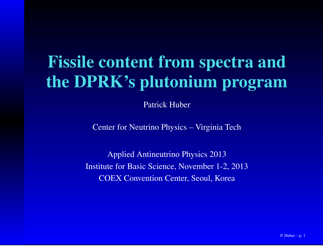# Fissile content from spectra andthe DPRK's plutonium program

Patrick Huber

Center for Neutrino Physics – Virginia Tech

Applied Antineutrino Physics 2013Institute for Basic Science, November 1-2, 2013COEX Convention Center, Seoul, Korea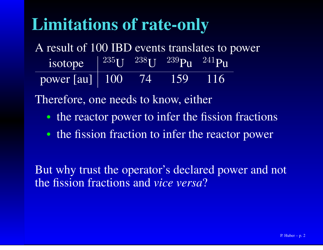## Limitations of rate-only

A result of 100 IBD events translates to powerisotopee  $^{235}$ U  $^{238}$ U  $^{239}$ Pu  $^{241}$ Pu power [au] <sup>100</sup> <sup>74</sup> <sup>159</sup> <sup>116</sup>

Therefore, one needs to know, either

- the reactor power to infer the fission fractions
- the fission fraction to infer the reactor power

But why trust the operator's declared power and notthe fission fractions and *vice versa* ?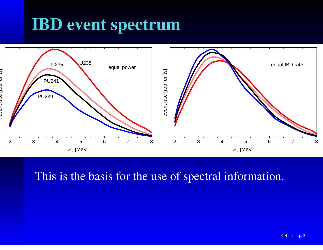#### IBD event spectrum



#### This is the basis for the use of spectral information.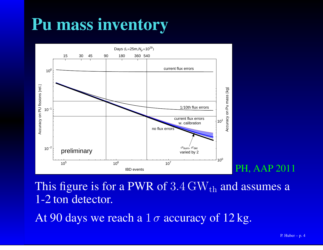# Pu mass inventory



This figure is for a PWR of  $3.4 \text{ GW}_{\text{th}}$  and assumes a 1-2 ton detector.

At 90 days we reach a  $1\,\sigma$  accuracy of  $12\,\mathrm{kg}.$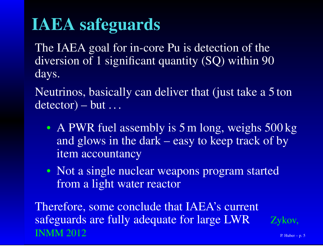# IAEA safeguards

The IAEA goal for in-core Pu is detection of the diversion of 1 significant quantity (SQ) within 90days.

Neutrinos, basically can deliver that (just take <sup>a</sup> 5 ton $\text{detector}) - \text{but} \dots$ 

- A PWR fuel assembly is 5 m long, weighs 500 kg and glows in the dark – easy to keep track of byitem accountancy
- Not <sup>a</sup> single nuclear weapons program startedfrom <sup>a</sup> light water reactor

Therefore, some conclude that IAEA's currentsafeguards are fully adequate for large LWRINMM 2012 $\angle$  P. Huber – p. 5

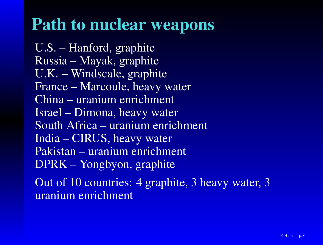#### Path to nuclear weapons

U.S. – Hanford, graphite Russia – Mayak, graphite U.K. – Windscale, graphite France – Marcoule, heavy waterChina – uranium enrichmentIsrael – Dimona, heavy water South Africa – uranium enrichmentIndia – CIRUS, heavy water Pakistan – uranium enrichmentDPRK – Yongbyon, graphiteOut of 10 countries: 4 graphite, 3 heavy water, 3

uranium enrichment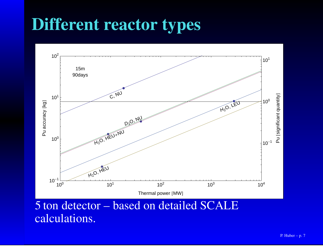## Different reactor types



5 ton detector – based on detailed SCALEcalculations.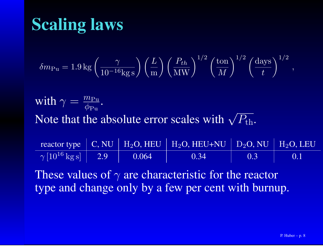# Scaling laws

$$
\delta m_{\rm Pu} = 1.9 \,\text{kg} \left( \frac{\gamma}{10^{-16} \text{kg s}} \right) \left( \frac{L}{\text{m}} \right) \left( \frac{P_{th}}{\text{MW}} \right)^{1/2} \left( \frac{\text{ton}}{M} \right)^{1/2} \left( \frac{\text{days}}{t} \right)^{1/2},
$$

with  $\gamma = \frac{m_{\rm{Pu}}}{\phi_{\rm{Pu}}}.$ Note that the absolute error scales with  $\sqrt{P_{\rm th}}.$ 

|                                        |       | reactor type $\mid$ C, NU $\mid$ H <sub>2</sub> O, HEU $\mid$ H <sub>2</sub> O, HEU+NU $\mid$ D <sub>2</sub> O, NU $\mid$ H <sub>2</sub> O, LEU |     |     |
|----------------------------------------|-------|-------------------------------------------------------------------------------------------------------------------------------------------------|-----|-----|
| $\gamma$ [10 <sup>16</sup> kg s]   2.9 | 0.064 | 0.34                                                                                                                                            | 0.3 | 0.1 |

These values of  $\gamma$  are characteristic for the reactor type and change only by <sup>a</sup> few per cent with burnup.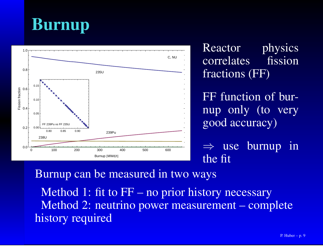



Reactor physicsfission correlates fractions (FF)

FF function of burnup only (to verygood accuracy)

⇒ use burnup in<br>the fit the fit

Burnup can be measured in two waysMethod 1: fit to FF – no prior history necessary Method 2: neutrino power measurement – completehistory required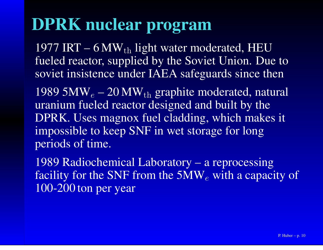#### DPRK nuclear program

1977 IRT – 6 MW $_{\rm th}$  light water moderated, HEU fueled reactor, supplied by the Soviet Union. Due tosoviet insistence under IAEA safeguards since then

1989 5 $\mathbf{MW}_e$  $_e$  – 20 MW $_{\rm th}$  graphite moderated, natural uranium fueled reactor designed and built by the DPRK. Uses magnox fuel cladding, which makes itimpossible to keep SNF in wet storage for longperiods of time.

1989 Radiochemical Laboratory – <sup>a</sup> reprocessingfacility for the SNF from the 5MW $_{e}$  with a capa  $_e$  with a capacity of 100-200 ton per year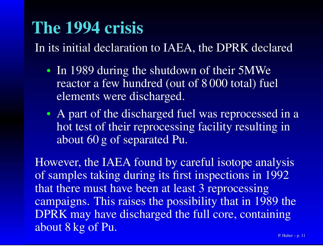#### The 1994 crisis

In its initial declaration to IAEA, the DPRK declared

- In 1989 during the shutdown of their 5MWe reactor <sup>a</sup> few hundred (out of 8 000 total) fuelelements were discharged.
- A part of the discharged fuel was reprocessed in a hot test of their reprocessing facility resulting inabout 60 g of separated Pu.

However, the IAEA found by careful isotope analysis of samples taking during its first inspections in 1992that there must have been at least 3 reprocessing campaigns. This raises the possibility that in 1989 the DPRK may have discharged the full core, containingabout 8 kg of Pu.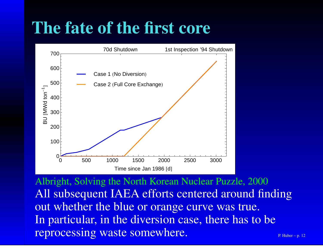## The fate of the first core



Albright, Solving the North Korean Nuclear Puzzle, 2000 All subsequent IAEA efforts centered around findingout whether the blue or orange curve was true. In particular, in the diversion case, there has to bereprocessing waste somewhere.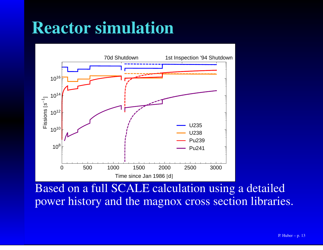#### Reactor simulation



Based on <sup>a</sup> full SCALE calculation using <sup>a</sup> detailedpower history and the magnox cross section libraries.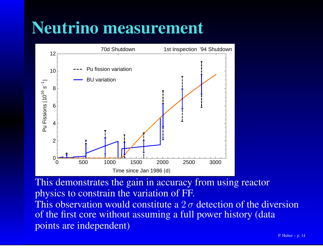#### Neutrino measurement



This demonstrates the gain in accuracy from using reactorphysics to constrain the variation of FF. This observation would constitute a  $2\sigma$  detection of the diversion of the first core without assuming <sup>a</sup> full power history (datapoints are independent)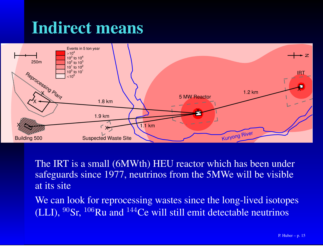### Indirect means



The IRT is <sup>a</sup> small (6MWth) HEU reactor which has been under safeguards since 1977, neutrinos from the 5MWe will be visibleat its site

We can look for reprocessing wastes since the long-lived isotopes (LLI),  $^{90}$ Sr,  $^{106}$ Ru and  $^{144}$ Ce will still emit detectable neutrinos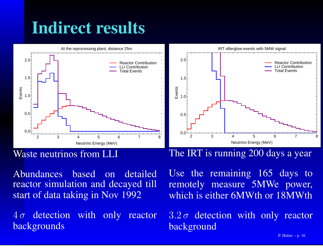# Indirect results



#### Waste neutrinos from LLI

Abundances based on detailed reactor simulation and decayed tillstart of data taking in Nov 1992

 $4\,\sigma$  detection with only reactor backgrounds

#### The IRT is running 200 days <sup>a</sup> year

Use the remaining 165 days to remotely measure 5MWe power, which is either 6MWth or 18MWth

 $3.2\,\sigma$  detection with only reactor background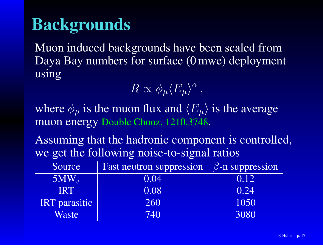#### Backgrounds

Muon induced backgrounds have been scaled fromDaya Bay numbers for surface (0 mwe) deploymentusing

 $R \propto \phi_\mu \langle E_\mu \rangle^\alpha \, ,$ 

where  $\phi_{\mu}$  is the muon flux and  $\langle E_{\mu} \rangle$  is the average muon energy Double Chooz, 1210.3748.

Assuming that the hadronic componen<sup>t</sup> is controlled, we ge<sup>t</sup> the following noise-to-signal ratios

| Source               | Fast neutron suppression | $\beta$ -n suppression |
|----------------------|--------------------------|------------------------|
| $5MW_{e}$            | 0.04                     | 0.12                   |
| <b>IRT</b>           | 0.08                     | 0.24                   |
| <b>IRT</b> parasitic | 260                      | 1050                   |
| <b>Waste</b>         | 740                      | 3080                   |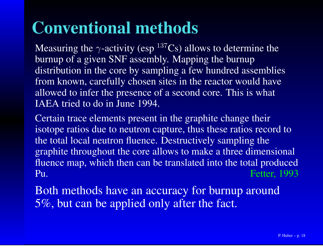## Conventional methods

Measuring the  $\gamma$ -activity (esp  $^{137}Cs$ ) allows to determine the burnup of <sup>a</sup> given SNF assembly. Mapping the burnup distribution in the core by sampling <sup>a</sup> few hundred assemblies from known, carefully chosen sites in the reactor would haveallowed to infer the presence of a second core. This is what IAEA tried to do in June 1994.

Certain trace elements presen<sup>t</sup> in the graphite change their isotope ratios due to neutron capture, thus these ratios record tothe total local neutron fluence. Destructively sampling the graphite throughout the core allows to make <sup>a</sup> three dimensional fluence map, which then can be translated into the total produced Fetter, 1993Pu.

Both methods have an accuracy for burnup around5%, but can be applied only after the fact.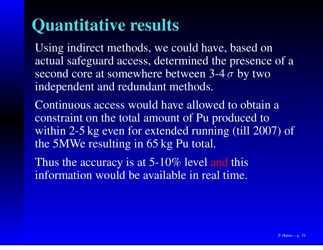### Quantitative results

Using indirect methods, we could have, based on actual safeguard access, determined the presence of <sup>a</sup>second core at somewhere between 3-4  $\sigma$  by two independent and redundant methods.

Continuous access would have allowed to obtain <sup>a</sup>constraint on the total amount of Pu produced to within 2-5 kg even for extended running (till 2007) ofthe 5MWe resulting in 65 kg Pu total.

Thus the accuracy is at 5-10% level and this information would be available in real time.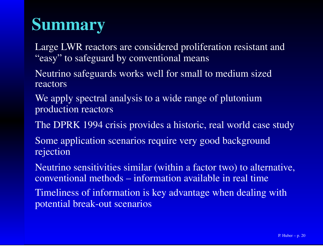# Summary

Large LWR reactors are considered proliferation resistant and"easy" to safeguard by conventional means

Neutrino safeguards works well for small to medium sizedreactors

We apply spectral analysis to a wide range of plutonium production reactors

The DPRK 1994 crisis provides <sup>a</sup> historic, real world case study

Some application scenarios require very good backgroundrejection

Neutrino sensitivities similar (within <sup>a</sup> factor two) to alternative, conventional methods – information available in real time

Timeliness of information is key advantage when dealing withpotential break-out scenarios